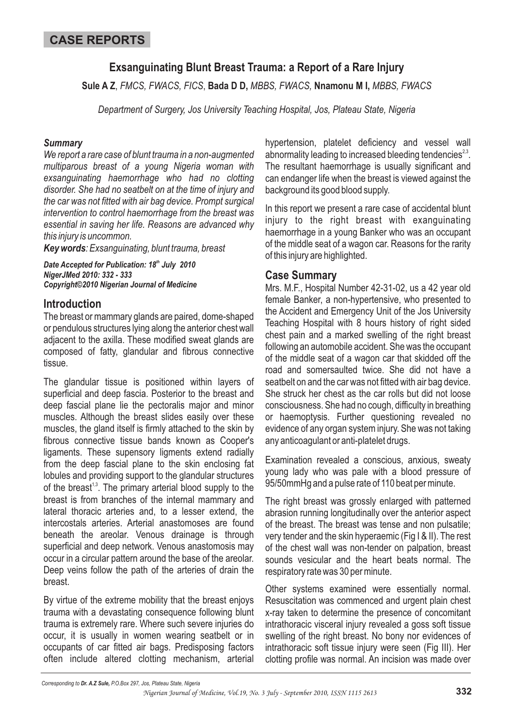# **Exsanguinating Blunt Breast Trauma: a Report of a Rare Injury**

Sule A Z. FMCS, FWACS, FICS, Bada D D, MBBS, FWACS, Nnamonu M I, MBBS, FWACS

*Department of Surgery, Jos University Teaching Hospital, Jos, Plateau State, Nigeria*

#### *Summary*

*We report a rare case of blunt trauma in a non-augmented multiparous breast of a young Nigeria woman with exsanguinating haemorrhage who had no clotting disorder. She had no seatbelt on at the time of injury and the car was not fitted with air bag device. Prompt surgical intervention to control haemorrhage from the breast was essential in saving her life. Reasons are advanced why this injury is uncommon.*

*Key words : Exsanguinating, blunt trauma, breast*

*Date Accepted for Publication: 18<sup>th</sup> July 2010 NigerJMed 2010: 332 - 333 Copyright©2010 Nigerian Journal of Medicine*

## **Introduction**

The breast or mammary glands are paired, dome-shaped or pendulous structures lying along the anterior chest wall adjacent to the axilla. These modified sweat glands are composed of fatty, glandular and fibrous connective tissue.

The glandular tissue is positioned within layers of superficial and deep fascia. Posterior to the breast and deep fascial plane lie the pectoralis major and minor muscles. Although the breast slides easily over these muscles, the gland itself is firmly attached to the skin by fibrous connective tissue bands known as Cooper's ligaments. These supensory ligments extend radially from the deep fascial plane to the skin enclosing fat lobules and providing support to the glandular structures of the breast<sup>1,3</sup>. The primary arterial blood supply to the breast is from branches of the internal mammary and lateral thoracic arteries and, to a lesser extend, the intercostals arteries. Arterial anastomoses are found beneath the areolar. Venous drainage is through superficial and deep network. Venous anastomosis may occur in a circular pattern around the base of the areolar. Deep veins follow the path of the arteries of drain the breast.

By virtue of the extreme mobility that the breast enjoys trauma with a devastating consequence following blunt trauma is extremely rare. Where such severe injuries do occur, it is usually in women wearing seatbelt or in occupants of car fitted air bags. Predisposing factors often include altered clotting mechanism, arterial

hypertension, platelet deficiency and vessel wall abnormality leading to increased bleeding tendencies $^{2,3}$ . The resultant haemorrhage is usually significant and can endanger life when the breast is viewed against the background its good blood supply.

In this report we present a rare case of accidental blunt injury to the right breast with exanguinating haemorrhage in a young Banker who was an occupant of the middle seat of a wagon car. Reasons for the rarity of this injury are highlighted.

### **Case Summary**

Mrs. M.F., Hospital Number 42-31-02, us a 42 year old female Banker, a non-hypertensive, who presented to the Accident and Emergency Unit of the Jos University Teaching Hospital with 8 hours history of right sided chest pain and a marked swelling of the right breast following an automobile accident. She was the occupant of the middle seat of a wagon car that skidded off the road and somersaulted twice. She did not have a seatbelt on and the car was not fitted with air bag device. She struck her chest as the car rolls but did not loose consciousness. She had no cough, difficulty in breathing or haemoptysis. Further questioning revealed no evidence of any organ system injury. She was not taking any anticoagulant or anti-platelet drugs.

Examination revealed a conscious, anxious, sweaty young lady who was pale with a blood pressure of 95/50mmHg and a pulse rate of 110 beat per minute.

The right breast was grossly enlarged with patterned abrasion running longitudinally over the anterior aspect of the breast. The breast was tense and non pulsatile; very tender and the skin hyperaemic (Fig I & II). The rest of the chest wall was non-tender on palpation, breast sounds vesicular and the heart beats normal. The respiratory rate was 30 per minute.

Other systems examined were essentially normal. Resuscitation was commenced and urgent plain chest x-ray taken to determine the presence of concomitant intrathoracic visceral injury revealed a goss soft tissue swelling of the right breast. No bony nor evidences of intrathoracic soft tissue injury were seen (Fig III). Her clotting profile was normal. An incision was made over